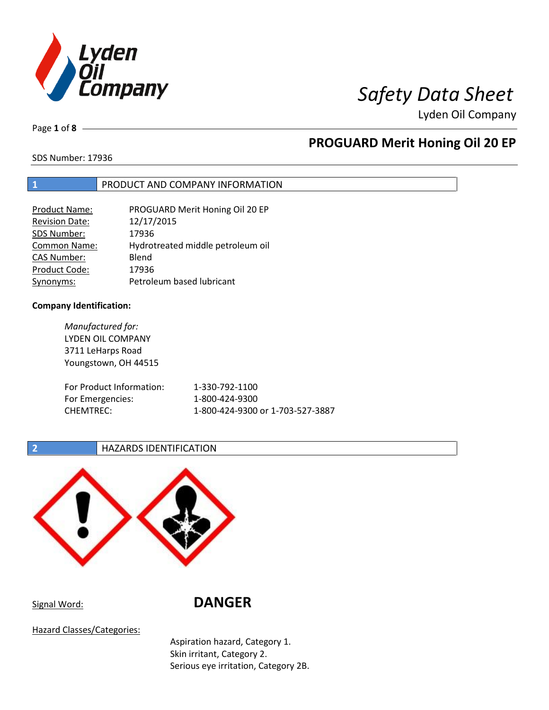

Page **1** of **8**

## **PROGUARD Merit Honing Oil 20 EP**

SDS Number: 17936

## **1** PRODUCT AND COMPANY INFORMATION

| <b>Product Name:</b>  | PROGUARD Merit Honing Oil 20 EP   |
|-----------------------|-----------------------------------|
| <b>Revision Date:</b> | 12/17/2015                        |
| SDS Number:           | 17936                             |
| Common Name:          | Hydrotreated middle petroleum oil |
| <b>CAS Number:</b>    | Blend                             |
| Product Code:         | 17936                             |
| Synonyms:             | Petroleum based lubricant         |

## **Company Identification:**

*Manufactured for:* LYDEN OIL COMPANY 3711 LeHarps Road Youngstown, OH 44515 For Product Information: 1-330-792-1100 For Emergencies: 1-800-424-9300 CHEMTREC: 1-800-424-9300 or 1-703-527-3887

**2 HAZARDS IDENTIFICATION** 



Signal Word: **DANGER**

Hazard Classes/Categories:

Aspiration hazard, Category 1. Skin irritant, Category 2. Serious eye irritation, Category 2B.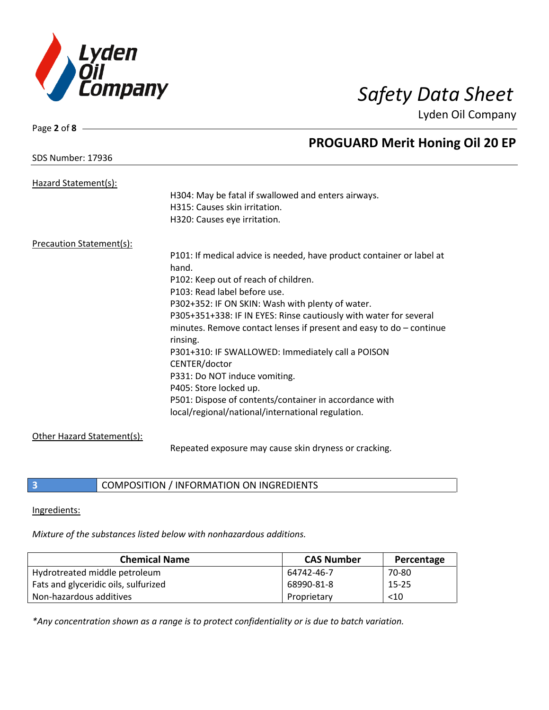

| Page 2 of 8                | Lyuch On Company                                                      |
|----------------------------|-----------------------------------------------------------------------|
|                            | <b>PROGUARD Merit Honing Oil 20 EP</b>                                |
| <b>SDS Number: 17936</b>   |                                                                       |
| Hazard Statement(s):       |                                                                       |
|                            | H304: May be fatal if swallowed and enters airways.                   |
|                            | H315: Causes skin irritation.                                         |
|                            | H320: Causes eye irritation.                                          |
| Precaution Statement(s):   |                                                                       |
|                            | P101: If medical advice is needed, have product container or label at |
|                            | hand.                                                                 |
|                            | P102: Keep out of reach of children.                                  |
|                            | P103: Read label before use.                                          |
|                            | P302+352: IF ON SKIN: Wash with plenty of water.                      |
|                            | P305+351+338: IF IN EYES: Rinse cautiously with water for several     |
|                            | minutes. Remove contact lenses if present and easy to $do$ – continue |
|                            | rinsing.                                                              |
|                            | P301+310: IF SWALLOWED: Immediately call a POISON                     |
|                            | CENTER/doctor                                                         |
|                            | P331: Do NOT induce vomiting.                                         |
|                            | P405: Store locked up.                                                |
|                            | P501: Dispose of contents/container in accordance with                |
|                            | local/regional/national/international regulation.                     |
| Other Hazard Statement(s): |                                                                       |

Repeated exposure may cause skin dryness or cracking.

**3** COMPOSITION / INFORMATION ON INGREDIENTS

Ingredients:

*Mixture of the substances listed below with nonhazardous additions.*

| <b>Chemical Name</b>                 | <b>CAS Number</b> | Percentage |
|--------------------------------------|-------------------|------------|
| Hydrotreated middle petroleum        | 64742-46-7        | 70-80      |
| Fats and glyceridic oils, sulfurized | 68990-81-8        | $15 - 25$  |
| Non-hazardous additives              | Proprietary       | $<$ 10     |

*\*Any concentration shown as a range is to protect confidentiality or is due to batch variation.*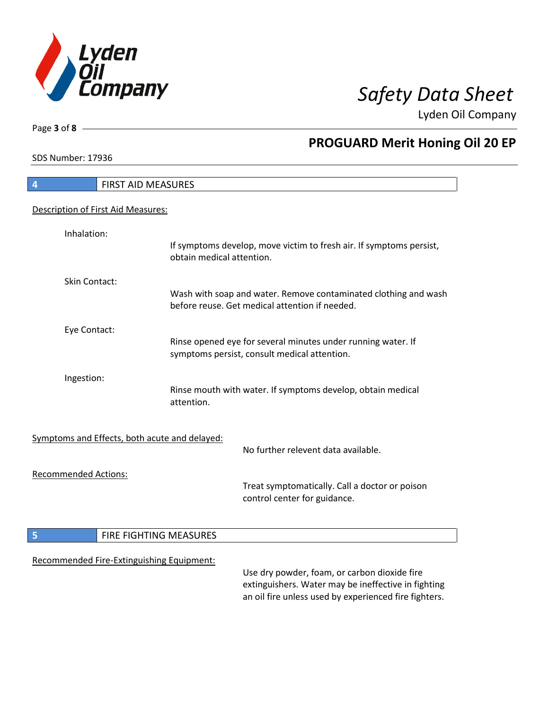

h

Page **3** of **8**

# **PROGUARD Merit Honing Oil 20 EP**

SDS Number: 17936

| <b>FIRST AID MEASURES</b><br>$\overline{4}$   |                                                                                                                                                              |
|-----------------------------------------------|--------------------------------------------------------------------------------------------------------------------------------------------------------------|
| Description of First Aid Measures:            |                                                                                                                                                              |
| Inhalation:                                   | If symptoms develop, move victim to fresh air. If symptoms persist,<br>obtain medical attention.                                                             |
| Skin Contact:                                 | Wash with soap and water. Remove contaminated clothing and wash<br>before reuse. Get medical attention if needed.                                            |
| Eye Contact:                                  | Rinse opened eye for several minutes under running water. If<br>symptoms persist, consult medical attention.                                                 |
| Ingestion:                                    | Rinse mouth with water. If symptoms develop, obtain medical<br>attention.                                                                                    |
| Symptoms and Effects, both acute and delayed: | No further relevent data available.                                                                                                                          |
| <b>Recommended Actions:</b>                   | Treat symptomatically. Call a doctor or poison<br>control center for guidance.                                                                               |
| $\overline{\phantom{a}}$                      | FIRE FIGHTING MEASURES                                                                                                                                       |
| Recommended Fire-Extinguishing Equipment:     | Use dry powder, foam, or carbon dioxide fire<br>extinguishers. Water may be ineffective in fighting<br>an oil fire unless used by experienced fire fighters. |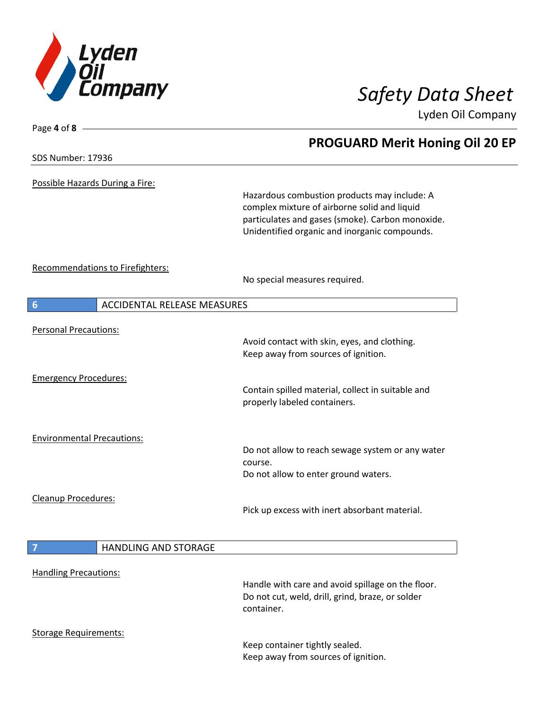

| Page 4 of 8 -                     |                                    |                                                                                                                                                                                                   |  |
|-----------------------------------|------------------------------------|---------------------------------------------------------------------------------------------------------------------------------------------------------------------------------------------------|--|
|                                   |                                    | <b>PROGUARD Merit Honing Oil 20 EP</b>                                                                                                                                                            |  |
| <b>SDS Number: 17936</b>          |                                    |                                                                                                                                                                                                   |  |
| Possible Hazards During a Fire:   |                                    | Hazardous combustion products may include: A<br>complex mixture of airborne solid and liquid<br>particulates and gases (smoke). Carbon monoxide.<br>Unidentified organic and inorganic compounds. |  |
|                                   | Recommendations to Firefighters:   | No special measures required.                                                                                                                                                                     |  |
| $6\phantom{1}6$                   | <b>ACCIDENTAL RELEASE MEASURES</b> |                                                                                                                                                                                                   |  |
| <b>Personal Precautions:</b>      |                                    |                                                                                                                                                                                                   |  |
|                                   |                                    | Avoid contact with skin, eyes, and clothing.<br>Keep away from sources of ignition.                                                                                                               |  |
| <b>Emergency Procedures:</b>      |                                    | Contain spilled material, collect in suitable and<br>properly labeled containers.                                                                                                                 |  |
| <b>Environmental Precautions:</b> |                                    | Do not allow to reach sewage system or any water<br>course.<br>Do not allow to enter ground waters.                                                                                               |  |
| Cleanup Procedures:               |                                    | Pick up excess with inert absorbant material.                                                                                                                                                     |  |
| $\overline{7}$                    | <b>HANDLING AND STORAGE</b>        |                                                                                                                                                                                                   |  |
| <b>Handling Precautions:</b>      |                                    | Handle with care and avoid spillage on the floor.<br>Do not cut, weld, drill, grind, braze, or solder<br>container.                                                                               |  |
| <b>Storage Requirements:</b>      |                                    | Keep container tightly sealed.<br>Keep away from sources of ignition.                                                                                                                             |  |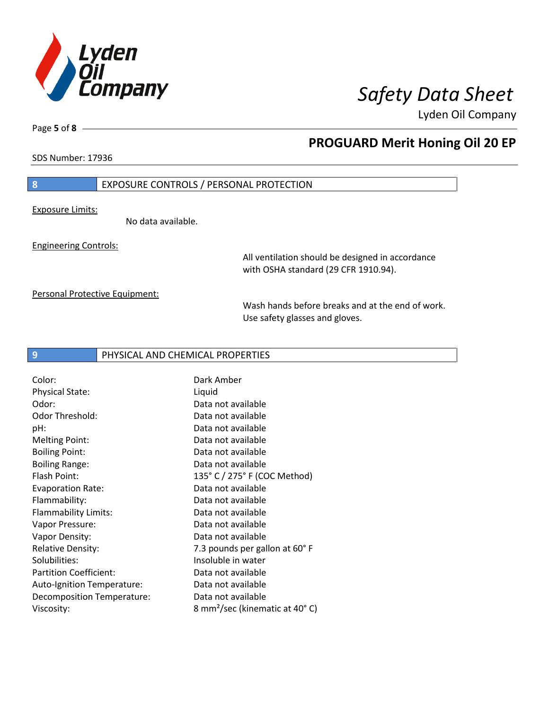

Page **5** of **8**

## **PROGUARD Merit Honing Oil 20 EP**

SDS Number: 17936

## **8** EXPOSURE CONTROLS / PERSONAL PROTECTION

Exposure Limits:

No data available.

Engineering Controls:

All ventilation should be designed in accordance with OSHA standard (29 CFR 1910.94).

Personal Protective Equipment:

Wash hands before breaks and at the end of work. Use safety glasses and gloves.

## **9** PHYSICAL AND CHEMICAL PROPERTIES

Color: Dark Amber Physical State: Liquid Odor: Data not available Odor Threshold: Data not available pH: Data not available Melting Point: Data not available Boiling Point: Data not available Boiling Range: Data not available Flash Point: 135° C / 275° F (COC Method) Evaporation Rate: Data not available Flammability: Data not available Flammability Limits: Data not available Vapor Pressure: Data not available Vapor Density: Case Contract Market Data not available Relative Density: The Mass of the T.3 pounds per gallon at 60° F Solubilities: Insoluble in water Partition Coefficient: Data not available Auto-Ignition Temperature: Data not available Decomposition Temperature: Data not available Viscosity: 8 mm²/sec (kinematic at 40° C)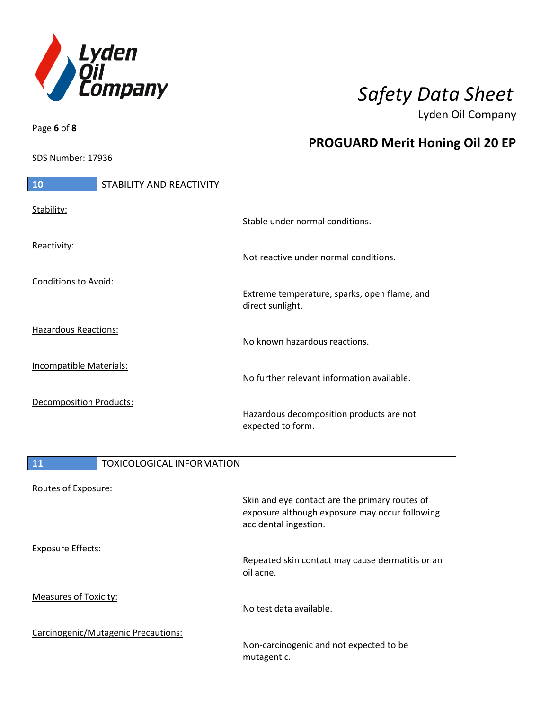

SDS Number: 17936

Page **6** of **8**

# **PROGUARD Merit Honing Oil 20 EP**

| <b>10</b>                      | STABILITY AND REACTIVITY |                                                                  |
|--------------------------------|--------------------------|------------------------------------------------------------------|
| Stability:                     |                          | Stable under normal conditions.                                  |
| Reactivity:                    |                          | Not reactive under normal conditions.                            |
| <b>Conditions to Avoid:</b>    |                          | Extreme temperature, sparks, open flame, and<br>direct sunlight. |
| <b>Hazardous Reactions:</b>    |                          | No known hazardous reactions.                                    |
| <b>Incompatible Materials:</b> |                          | No further relevant information available.                       |
| Decomposition Products:        |                          | Hazardous decomposition products are not<br>expected to form.    |

| <b>11</b>                           | <b>TOXICOLOGICAL INFORMATION</b>                                                                                          |
|-------------------------------------|---------------------------------------------------------------------------------------------------------------------------|
| Routes of Exposure:                 | Skin and eye contact are the primary routes of<br>exposure although exposure may occur following<br>accidental ingestion. |
| <b>Exposure Effects:</b>            | Repeated skin contact may cause dermatitis or an<br>oil acne.                                                             |
| <b>Measures of Toxicity:</b>        | No test data available.                                                                                                   |
| Carcinogenic/Mutagenic Precautions: | Non-carcinogenic and not expected to be<br>mutagentic.                                                                    |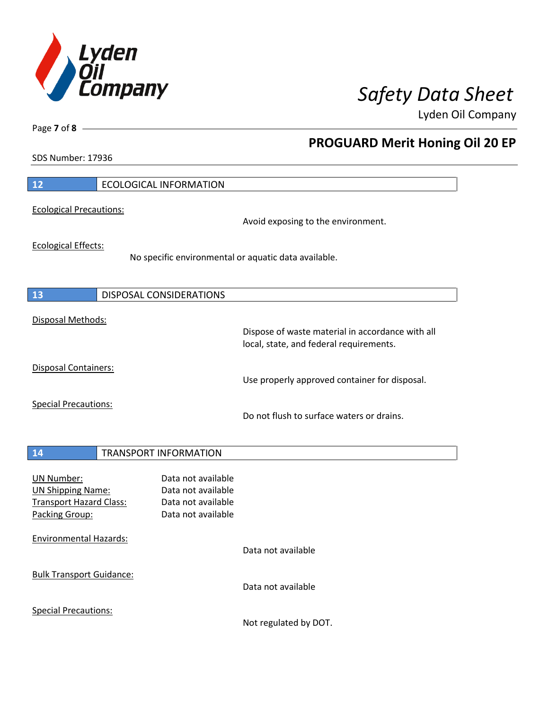

**PROGUARD Merit Honing Oil 20 EP**

Lyden Oil Company

SDS Number: 17936

Page **7** of **8**

| 12                                                                                                | <b>ECOLOGICAL INFORMATION</b>                                                        |                                                                                             |
|---------------------------------------------------------------------------------------------------|--------------------------------------------------------------------------------------|---------------------------------------------------------------------------------------------|
| <b>Ecological Precautions:</b>                                                                    |                                                                                      | Avoid exposing to the environment.                                                          |
| <b>Ecological Effects:</b>                                                                        | No specific environmental or aquatic data available.                                 |                                                                                             |
| 13                                                                                                | DISPOSAL CONSIDERATIONS                                                              |                                                                                             |
| Disposal Methods:                                                                                 |                                                                                      | Dispose of waste material in accordance with all<br>local, state, and federal requirements. |
| <b>Disposal Containers:</b>                                                                       |                                                                                      | Use properly approved container for disposal.                                               |
| <b>Special Precautions:</b>                                                                       |                                                                                      | Do not flush to surface waters or drains.                                                   |
| 14                                                                                                | <b>TRANSPORT INFORMATION</b>                                                         |                                                                                             |
| <b>UN Number:</b><br><b>UN Shipping Name:</b><br><b>Transport Hazard Class:</b><br>Packing Group: | Data not available<br>Data not available<br>Data not available<br>Data not available |                                                                                             |
| <b>Environmental Hazards:</b>                                                                     |                                                                                      | Data not available                                                                          |
| <b>Bulk Transport Guidance:</b>                                                                   |                                                                                      | Data not available                                                                          |
| <b>Special Precautions:</b>                                                                       |                                                                                      |                                                                                             |

Not regulated by DOT.